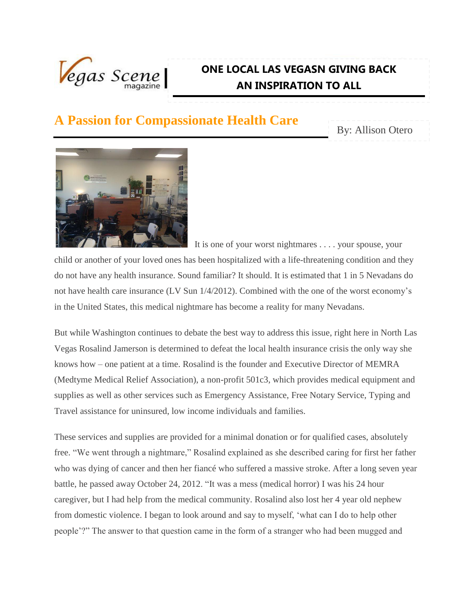

## **ONE LOCAL LAS VEGASN GIVING BACK AN INSPIRATION TO ALL**

## **A Passion for Compassionate Health Care**

By: Allison Otero



 It is one of your worst nightmares . . . . your spouse, your child or another of your loved ones has been hospitalized with a life-threatening condition and they do not have any health insurance. Sound familiar? It should. It is estimated that 1 in 5 Nevadans do not have health care insurance (LV Sun 1/4/2012). Combined with the one of the worst economy's in the United States, this medical nightmare has become a reality for many Nevadans.

But while Washington continues to debate the best way to address this issue, right here in North Las Vegas Rosalind Jamerson is determined to defeat the local health insurance crisis the only way she knows how – one patient at a time. Rosalind is the founder and Executive Director of MEMRA (Medtyme Medical Relief Association), a non-profit 501c3, which provides medical equipment and supplies as well as other services such as Emergency Assistance, Free Notary Service, Typing and Travel assistance for uninsured, low income individuals and families.

These services and supplies are provided for a minimal donation or for qualified cases, absolutely free. "We went through a nightmare," Rosalind explained as she described caring for first her father who was dying of cancer and then her fiancé who suffered a massive stroke. After a long seven year battle, he passed away October 24, 2012. "It was a mess (medical horror) I was his 24 hour caregiver, but I had help from the medical community. Rosalind also lost her 4 year old nephew from domestic violence. I began to look around and say to myself, 'what can I do to help other people'?" The answer to that question came in the form of a stranger who had been mugged and